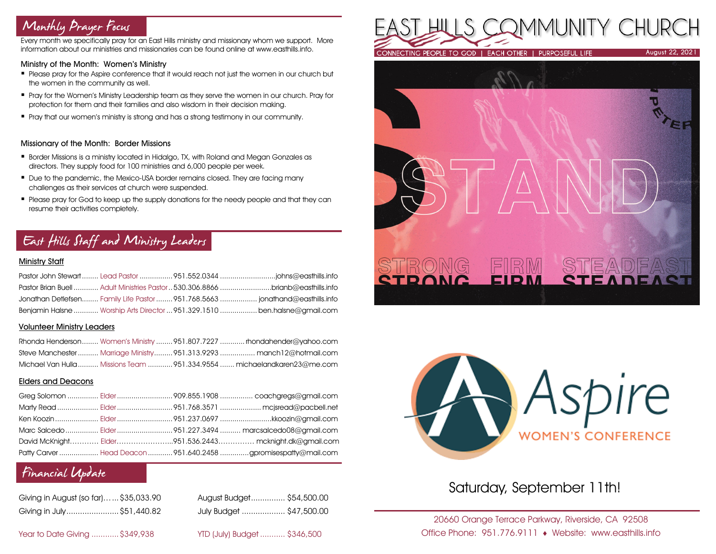# Monthly Prayer Focus

Every month we specifically pray for an East Hills ministry and missionary whom we support. More information about our ministries and missionaries can be found online at www.easthills.info.

#### Ministry of the Month: Women's Ministry

- **Please pray for the Aspire conference that it would reach not just the women in our church but** the women in the community as well.
- **Pray for the Women's Ministry Leadership team as they serve the women in our church. Pray for** protection for them and their families and also wisdom in their decision making.
- **•** Pray that our women's ministry is strong and has a strong testimony in our community.

#### Missionary of the Month: Border Missions

- Border Missions is a ministry located in Hidalgo, TX, with Roland and Megan Gonzales as directors. They supply food for 100 ministries and 6,000 people per week.
- Due to the pandemic, the Mexico-USA border remains closed. They are facing many challenges as their services at church were suspended.
- Please pray for God to keep up the supply donations for the needy people and that they can resume their activities completely.

# East Hills Staff and Ministry Leaders

#### Ministry Staff

|  | Pastor Brian Buell  Adult Ministries Pastor  530.306.8866 brianb@easthills.info |
|--|---------------------------------------------------------------------------------|
|  |                                                                                 |
|  | Benjamin Halsne  Worship Arts Director  951.329.1510  ben.halsne@gmail.com      |

#### Volunteer Ministry Leaders

|  | Rhonda Henderson Women's Ministry  951.807.7227  rhondahender@yahoo.com  |
|--|--------------------------------------------------------------------------|
|  | Steve Manchester Marriage Ministry 951.313.9293  manch12@hotmail.com     |
|  | Michael Van Hulla  Missions Team  951.334.9554  michaelandkaren23@me.com |

#### Elders and Deacons

|  | Ken Koozin  Elder 951.237.0697 kkoozin@gmail.com                |
|--|-----------------------------------------------------------------|
|  |                                                                 |
|  | David McKnight Elder951.536.2443 mcknight.dk@gmail.com          |
|  | Patty Carver  Head Deacon  951.640.2458 gpromisespatty@mail.com |

# Financial Update

| Giving in August (so far) \$35,033.90 | August Budget \$54,500.00 |  |
|---------------------------------------|---------------------------|--|
| Giving in July\$51,440.82             | July Budget  \$47,500.00  |  |

| Giving in August (so far) \$35,033.90 | August Budget \$54,500.00 |
|---------------------------------------|---------------------------|
| Giving in July \$51,440.82            | July Budget  \$47,500.00  |

Year to Date Giving ............\$349,938 YTD (July) Budget ........... \$346,500







# Saturday, September 11th!

20660 Orange Terrace Parkway, Riverside, CA 92508 Office Phone: 951.776.9111 Website: www.easthills.info